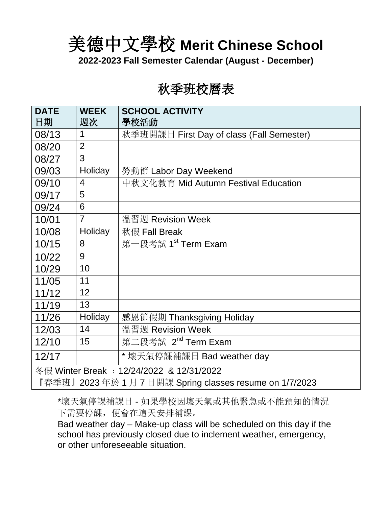美德中文學校 **Merit Chinese School** 

**2022-2023 Fall Semester Calendar (August - December)**

## 秋季班校曆表

| <b>DATE</b>                                             | <b>WEEK</b>    | <b>SCHOOL ACTIVITY</b>                    |  |  |
|---------------------------------------------------------|----------------|-------------------------------------------|--|--|
| 日期                                                      | 週次             | 學校活動                                      |  |  |
| 08/13                                                   | 1              | 秋季班開課日 First Day of class (Fall Semester) |  |  |
| 08/20                                                   | $\overline{2}$ |                                           |  |  |
| 08/27                                                   | 3              |                                           |  |  |
| 09/03                                                   | Holiday        | 勞動節 Labor Day Weekend                     |  |  |
| 09/10                                                   | $\overline{4}$ | 中秋文化教育 Mid Autumn Festival Education      |  |  |
| 09/17                                                   | 5              |                                           |  |  |
| 09/24                                                   | 6              |                                           |  |  |
| 10/01                                                   | $\overline{7}$ | 溫習週 Revision Week                         |  |  |
| 10/08                                                   | Holiday        | 秋假 Fall Break                             |  |  |
| 10/15                                                   | 8              | 第一段考試 1 <sup>st</sup> Term Exam           |  |  |
| 10/22                                                   | 9              |                                           |  |  |
| 10/29                                                   | 10             |                                           |  |  |
| 11/05                                                   | 11             |                                           |  |  |
| 11/12                                                   | 12             |                                           |  |  |
| 11/19                                                   | 13             |                                           |  |  |
| 11/26                                                   | Holiday        | 感恩節假期 Thanksgiving Holiday                |  |  |
| 12/03                                                   | 14             | 溫習週 Revision Week                         |  |  |
| 12/10                                                   | 15             | 第二段考試 2 <sup>nd</sup> Term Exam           |  |  |
| 12/17                                                   |                | * 壞天氣停課補課日 Bad weather day                |  |  |
| 冬假 Winter Break: 12/24/2022 & 12/31/2022                |                |                                           |  |  |
| 『春季班』2023年於 1 月 7 日開課 Spring classes resume on 1/7/2023 |                |                                           |  |  |

\*壞天氣停課補課日 - 如果學校因壞天氣或其他緊急或不能預知的情況 下需要停課,便會在這天安排補課。

Bad weather day – Make-up class will be scheduled on this day if the school has previously closed due to inclement weather, emergency, or other unforeseeable situation.